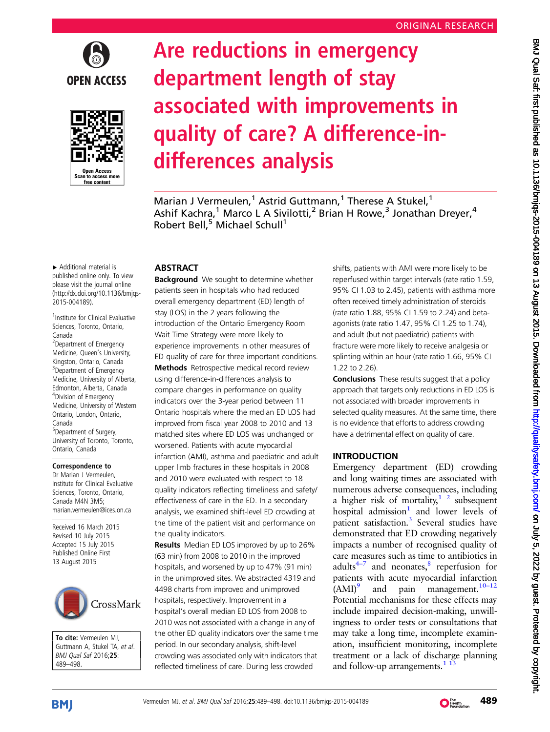



# Are reductions in emergency department length of stay associated with improvements in quality of care? A difference-indifferences analysis

Marian J Vermeulen,<sup>1</sup> Astrid Guttmann,<sup>1</sup> Therese A Stukel,<sup>1</sup> Ashif Kachra,<sup>1</sup> Marco L A Sivilotti,<sup>2</sup> Brian H Rowe,<sup>3</sup> Jonathan Dreyer,<sup>4</sup> Robert Bell,<sup>5</sup> Michael Schull<sup>1</sup>

▸ Additional material is published online only. To view please visit the journal online ([http://dx.doi.org/10.1136/bmjqs-](http://dx.doi.org/10.1136/bmjqs-2015-004189)[2015-004189](http://dx.doi.org/10.1136/bmjqs-2015-004189)).

<sup>1</sup>Institute for Clinical Evaluative Sciences, Toronto, Ontario, Canada <sup>2</sup> Department of Emergency Medicine, Queen's University, Kingston, Ontario, Canada <sup>3</sup>Department of Emergency Medicine, University of Alberta, Edmonton, Alberta, Canada 4 Division of Emergency Medicine, University of Western Ontario, London, Ontario, Canada 5 Department of Surgery, University of Toronto, Toronto, Ontario, Canada

#### Correspondence to

Dr Marian J Vermeulen, Institute for Clinical Evaluative Sciences, Toronto, Ontario, Canada M4N 3M5; marian.vermeulen@ices.on.ca

Received 16 March 2015 Revised 10 July 2015 Accepted 15 July 2015 Published Online First 13 August 2015



To cite: Vermeulen MJ, Guttmann A, Stukel TA, et al. BMJ Qual Saf 2016;25: 489–498.

## ABSTRACT

**Background** We sought to determine whether patients seen in hospitals who had reduced overall emergency department (ED) length of stay (LOS) in the 2 years following the introduction of the Ontario Emergency Room Wait Time Strategy were more likely to experience improvements in other measures of ED quality of care for three important conditions. Methods Retrospective medical record review using difference-in-differences analysis to compare changes in performance on quality indicators over the 3-year period between 11 Ontario hospitals where the median ED LOS had improved from fiscal year 2008 to 2010 and 13 matched sites where ED LOS was unchanged or worsened. Patients with acute myocardial infarction (AMI), asthma and paediatric and adult upper limb fractures in these hospitals in 2008 and 2010 were evaluated with respect to 18 quality indicators reflecting timeliness and safety/ effectiveness of care in the ED. In a secondary analysis, we examined shift-level ED crowding at the time of the patient visit and performance on the quality indicators.

Results Median ED LOS improved by up to 26% (63 min) from 2008 to 2010 in the improved hospitals, and worsened by up to 47% (91 min) in the unimproved sites. We abstracted 4319 and 4498 charts from improved and unimproved hospitals, respectively. Improvement in a hospital's overall median ED LOS from 2008 to 2010 was not associated with a change in any of the other ED quality indicators over the same time period. In our secondary analysis, shift-level crowding was associated only with indicators that reflected timeliness of care. During less crowded

shifts, patients with AMI were more likely to be reperfused within target intervals (rate ratio 1.59, 95% CI 1.03 to 2.45), patients with asthma more often received timely administration of steroids (rate ratio 1.88, 95% CI 1.59 to 2.24) and betaagonists (rate ratio 1.47, 95% CI 1.25 to 1.74), and adult (but not paediatric) patients with fracture were more likely to receive analgesia or splinting within an hour (rate ratio 1.66, 95% CI 1.22 to 2.26).

Conclusions These results suggest that a policy approach that targets only reductions in ED LOS is not associated with broader improvements in selected quality measures. At the same time, there is no evidence that efforts to address crowding have a detrimental effect on quality of care.

#### INTRODUCTION

Emergency department (ED) crowding and long waiting times are associated with numerous adverse consequences, including a higher risk of mortality, $1^2$  subsequent hospital admission<sup>[1](#page-7-0)</sup> and lower levels of patient satisfaction.<sup>[3](#page-7-0)</sup> Several studies have demonstrated that ED crowding negatively impacts a number of recognised quality of care measures such as time to antibiotics in adults $4-7$  and neonates,<sup>8</sup> reperfusion for patients with acute myocardial infarction  $(AMI)^9$  and pain management.<sup>[10](#page-8-0)–12</sup> Potential mechanisms for these effects may include impaired decision-making, unwillingness to order tests or consultations that may take a long time, incomplete examination, insufficient monitoring, incomplete treatment or a lack of discharge planning and follow-up arrangements. $1^{13}$  $1^{13}$ 

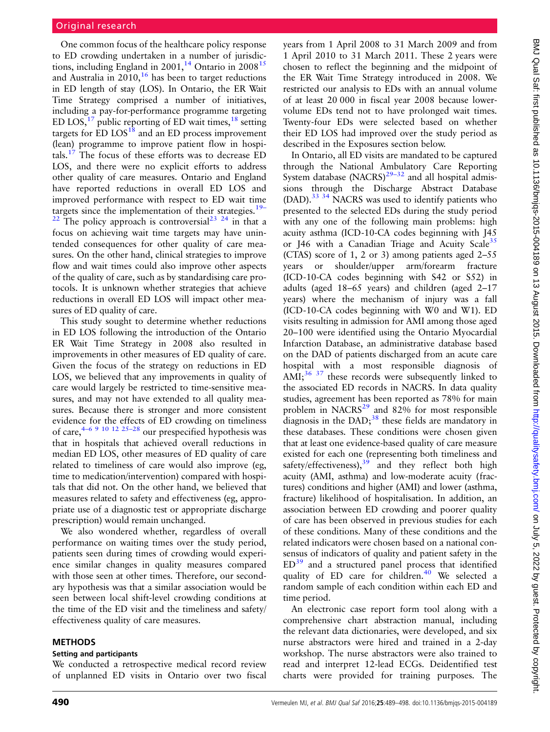One common focus of the healthcare policy response to ED crowding undertaken in a number of jurisdictions, including England in  $2001$ , <sup>[14](#page-8-0)</sup> Ontario in  $2008$ <sup>[15](#page-8-0)</sup> and Australia in  $2010$ ,<sup>[16](#page-8-0)</sup> has been to target reductions in ED length of stay (LOS). In Ontario, the ER Wait Time Strategy comprised a number of initiatives, including a pay-for-performance programme targeting ED LOS, $^{17}$  $^{17}$  $^{17}$  public reporting of ED wait times, $^{18}$  $^{18}$  $^{18}$  setting targets for  $ED LOS^{18}$  $ED LOS^{18}$  $ED LOS^{18}$  and an  $ED process$  improvement (lean) programme to improve patient flow in hospitals.[17](#page-8-0) The focus of these efforts was to decrease ED LOS, and there were no explicit efforts to address other quality of care measures. Ontario and England have reported reductions in overall ED LOS and improved performance with respect to ED wait time targets since the implementation of their strategies.<sup>[19](#page-8-0)–</sup> <sup>[22](#page-8-0)</sup> The policy approach is controversial<sup>[23 24](#page-8-0)</sup> in that a focus on achieving wait time targets may have unintended consequences for other quality of care measures. On the other hand, clinical strategies to improve flow and wait times could also improve other aspects of the quality of care, such as by standardising care protocols. It is unknown whether strategies that achieve reductions in overall ED LOS will impact other measures of ED quality of care.

This study sought to determine whether reductions in ED LOS following the introduction of the Ontario ER Wait Time Strategy in 2008 also resulted in improvements in other measures of ED quality of care. Given the focus of the strategy on reductions in ED LOS, we believed that any improvements in quality of care would largely be restricted to time-sensitive measures, and may not have extended to all quality measures. Because there is stronger and more consistent evidence for the effects of ED crowding on timeliness of care,  $4-6$  $4-6$  [9 10 12](#page-8-0) 25–[28](#page-8-0) our prespecified hypothesis was that in hospitals that achieved overall reductions in median ED LOS, other measures of ED quality of care related to timeliness of care would also improve (eg, time to medication/intervention) compared with hospitals that did not. On the other hand, we believed that measures related to safety and effectiveness (eg, appropriate use of a diagnostic test or appropriate discharge prescription) would remain unchanged.

We also wondered whether, regardless of overall performance on waiting times over the study period, patients seen during times of crowding would experience similar changes in quality measures compared with those seen at other times. Therefore, our secondary hypothesis was that a similar association would be seen between local shift-level crowding conditions at the time of the ED visit and the timeliness and safety/ effectiveness quality of care measures.

#### METHODS

#### Setting and participants

We conducted a retrospective medical record review of unplanned ED visits in Ontario over two fiscal years from 1 April 2008 to 31 March 2009 and from 1 April 2010 to 31 March 2011. These 2 years were chosen to reflect the beginning and the midpoint of the ER Wait Time Strategy introduced in 2008. We restricted our analysis to EDs with an annual volume of at least 20 000 in fiscal year 2008 because lowervolume EDs tend not to have prolonged wait times. Twenty-four EDs were selected based on whether their ED LOS had improved over the study period as described in the Exposures section below.

In Ontario, all ED visits are mandated to be captured through the National Ambulatory Care Reporting System database  $(NACRS)^{29-32}$  $(NACRS)^{29-32}$  $(NACRS)^{29-32}$  and all hospital admissions through the Discharge Abstract Database  $(DAD)$ .<sup>[33 34](#page-8-0)</sup> NACRS was used to identify patients who presented to the selected EDs during the study period with any one of the following main problems: high acuity asthma (ICD-10-CA codes beginning with J45 or J46 with a Canadian Triage and Acuity Scale<sup>[35](#page-8-0)</sup> (CTAS) score of 1, 2 or 3) among patients aged 2–55 years or shoulder/upper arm/forearm fracture (ICD-10-CA codes beginning with S42 or S52) in adults (aged 18–65 years) and children (aged 2–17 years) where the mechanism of injury was a fall (ICD-10-CA codes beginning with W0 and W1). ED visits resulting in admission for AMI among those aged 20–100 were identified using the Ontario Myocardial Infarction Database, an administrative database based on the DAD of patients discharged from an acute care hospital with a most responsible diagnosis of  $AMI$ ;<sup>[36 37](#page-8-0)</sup> these records were subsequently linked to the associated ED records in NACRS. In data quality studies, agreement has been reported as 78% for main problem in NACR $S^{29}$  $S^{29}$  $S^{29}$  and 82% for most responsible diagnosis in the DAD; $38$  these fields are mandatory in these databases. These conditions were chosen given that at least one evidence-based quality of care measure existed for each one (representing both timeliness and safety/effectiveness), $39$  and they reflect both high acuity (AMI, asthma) and low-moderate acuity (fractures) conditions and higher (AMI) and lower (asthma, fracture) likelihood of hospitalisation. In addition, an association between ED crowding and poorer quality of care has been observed in previous studies for each of these conditions. Many of these conditions and the related indicators were chosen based on a national consensus of indicators of quality and patient safety in the ED[39](#page-8-0) and a structured panel process that identified quality of ED care for children.<sup>[40](#page-8-0)</sup> We selected a random sample of each condition within each ED and time period.

An electronic case report form tool along with a comprehensive chart abstraction manual, including the relevant data dictionaries, were developed, and six nurse abstractors were hired and trained in a 2-day workshop. The nurse abstractors were also trained to read and interpret 12-lead ECGs. Deidentified test charts were provided for training purposes. The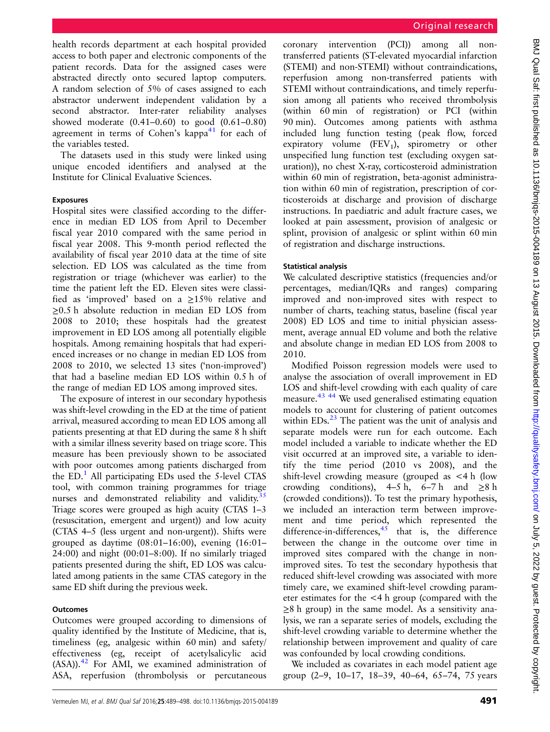health records department at each hospital provided access to both paper and electronic components of the patient records. Data for the assigned cases were abstracted directly onto secured laptop computers. A random selection of 5% of cases assigned to each abstractor underwent independent validation by a second abstractor. Inter-rater reliability analyses showed moderate (0.41–0.60) to good (0.61–0.80) agreement in terms of Cohen's kappa $41$  for each of the variables tested.

The datasets used in this study were linked using unique encoded identifiers and analysed at the Institute for Clinical Evaluative Sciences.

# Exposures

Hospital sites were classified according to the difference in median ED LOS from April to December fiscal year 2010 compared with the same period in fiscal year 2008. This 9-month period reflected the availability of fiscal year 2010 data at the time of site selection. ED LOS was calculated as the time from registration or triage (whichever was earlier) to the time the patient left the ED. Eleven sites were classified as 'improved' based on a  $\geq 15\%$  relative and ≥0.5 h absolute reduction in median ED LOS from 2008 to 2010; these hospitals had the greatest improvement in ED LOS among all potentially eligible hospitals. Among remaining hospitals that had experienced increases or no change in median ED LOS from 2008 to 2010, we selected 13 sites ('non-improved') that had a baseline median ED LOS within 0.5 h of the range of median ED LOS among improved sites.

The exposure of interest in our secondary hypothesis was shift-level crowding in the ED at the time of patient arrival, measured according to mean ED LOS among all patients presenting at that ED during the same 8 h shift with a similar illness severity based on triage score. This measure has been previously shown to be associated with poor outcomes among patients discharged from the  $ED<sup>1</sup>$  All participating EDs used the 5-level CTAS tool, with common training programmes for triage nurses and demonstrated reliability and validity. $35$ Triage scores were grouped as high acuity (CTAS 1–3 (resuscitation, emergent and urgent)) and low acuity (CTAS 4–5 (less urgent and non-urgent)). Shifts were grouped as daytime (08:01–16:00), evening (16:01– 24:00) and night (00:01–8:00). If no similarly triaged patients presented during the shift, ED LOS was calculated among patients in the same CTAS category in the same ED shift during the previous week.

## **Outcomes**

Outcomes were grouped according to dimensions of quality identified by the Institute of Medicine, that is, timeliness (eg, analgesic within 60 min) and safety/ effectiveness (eg, receipt of acetylsalicylic acid  $(ASA)$ ).<sup>[42](#page-8-0)</sup> For AMI, we examined administration of ASA, reperfusion (thrombolysis or percutaneous

coronary intervention (PCI)) among all nontransferred patients (ST-elevated myocardial infarction (STEMI) and non-STEMI) without contraindications, reperfusion among non-transferred patients with STEMI without contraindications, and timely reperfusion among all patients who received thrombolysis (within 60 min of registration) or PCI (within 90 min). Outcomes among patients with asthma included lung function testing (peak flow, forced expiratory volume  $(FEV_1)$ , spirometry or other unspecified lung function test (excluding oxygen saturation)), no chest X-ray, corticosteroid administration within 60 min of registration, beta-agonist administration within 60 min of registration, prescription of corticosteroids at discharge and provision of discharge instructions. In paediatric and adult fracture cases, we looked at pain assessment, provision of analgesic or splint, provision of analgesic or splint within 60 min of registration and discharge instructions.

# Statistical analysis

We calculated descriptive statistics (frequencies and/or percentages, median/IQRs and ranges) comparing improved and non-improved sites with respect to number of charts, teaching status, baseline (fiscal year 2008) ED LOS and time to initial physician assessment, average annual ED volume and both the relative and absolute change in median ED LOS from 2008 to 2010.

Modified Poisson regression models were used to analyse the association of overall improvement in ED LOS and shift-level crowding with each quality of care measure. $43 \frac{44}{14}$  We used generalised estimating equation models to account for clustering of patient outcomes within  $EDs<sup>23</sup>$  $EDs<sup>23</sup>$  $EDs<sup>23</sup>$ . The patient was the unit of analysis and separate models were run for each outcome. Each model included a variable to indicate whether the ED visit occurred at an improved site, a variable to identify the time period (2010 vs 2008), and the shift-level crowding measure (grouped as <4 h (low crowding conditions), 4–5 h, 6–7 h and  $\geq 8$  h (crowded conditions)). To test the primary hypothesis, we included an interaction term between improvement and time period, which represented the difference-in-differences, $45$  that is, the difference between the change in the outcome over time in improved sites compared with the change in nonimproved sites. To test the secondary hypothesis that reduced shift-level crowding was associated with more timely care, we examined shift-level crowding parameter estimates for the <4 h group (compared with the  $\geq$ 8 h group) in the same model. As a sensitivity analysis, we ran a separate series of models, excluding the shift-level crowding variable to determine whether the relationship between improvement and quality of care was confounded by local crowding conditions.

We included as covariates in each model patient age group (2–9, 10–17, 18–39, 40–64, 65–74, 75 years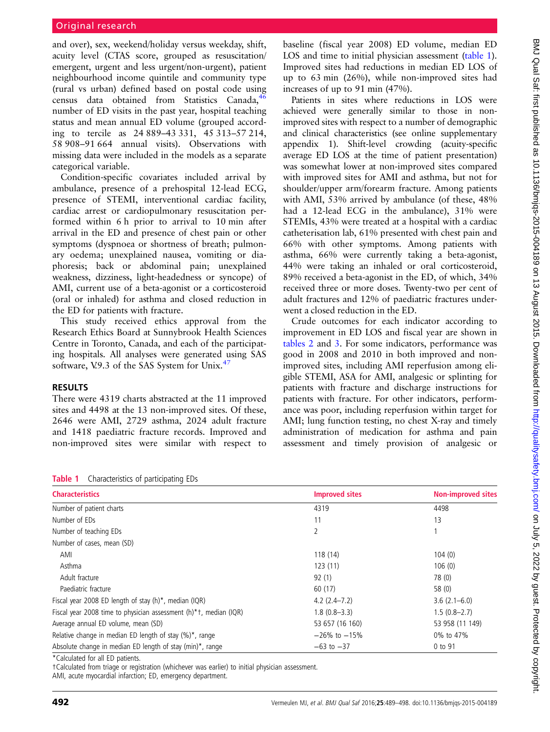and over), sex, weekend/holiday versus weekday, shift, acuity level (CTAS score, grouped as resuscitation/ emergent, urgent and less urgent/non-urgent), patient neighbourhood income quintile and community type (rural vs urban) defined based on postal code using census data obtained from Statistics Canada, <sup>[46](#page-8-0)</sup> number of ED visits in the past year, hospital teaching status and mean annual ED volume (grouped according to tercile as 24 889–43 331, 45 313–57 214, 58 908–91 664 annual visits). Observations with missing data were included in the models as a separate categorical variable.

Condition-specific covariates included arrival by ambulance, presence of a prehospital 12-lead ECG, presence of STEMI, interventional cardiac facility, cardiac arrest or cardiopulmonary resuscitation performed within 6 h prior to arrival to 10 min after arrival in the ED and presence of chest pain or other symptoms (dyspnoea or shortness of breath; pulmonary oedema; unexplained nausea, vomiting or diaphoresis; back or abdominal pain; unexplained weakness, dizziness, light-headedness or syncope) of AMI, current use of a beta-agonist or a corticosteroid (oral or inhaled) for asthma and closed reduction in the ED for patients with fracture.

This study received ethics approval from the Research Ethics Board at Sunnybrook Health Sciences Centre in Toronto, Canada, and each of the participating hospitals. All analyses were generated using SAS software, V.9.3 of the SAS System for Unix. $47$ 

#### RESULTS

There were 4319 charts abstracted at the 11 improved sites and 4498 at the 13 non-improved sites. Of these, 2646 were AMI, 2729 asthma, 2024 adult fracture and 1418 paediatric fracture records. Improved and non-improved sites were similar with respect to

baseline (fiscal year 2008) ED volume, median ED LOS and time to initial physician assessment (table 1). Improved sites had reductions in median ED LOS of up to 63 min (26%), while non-improved sites had increases of up to 91 min (47%).

Patients in sites where reductions in LOS were achieved were generally similar to those in nonimproved sites with respect to a number of demographic and clinical characteristics (see online supplementary appendix 1). Shift-level crowding (acuity-specific average ED LOS at the time of patient presentation) was somewhat lower at non-improved sites compared with improved sites for AMI and asthma, but not for shoulder/upper arm/forearm fracture. Among patients with AMI, 53% arrived by ambulance (of these, 48% had a 12-lead ECG in the ambulance), 31% were STEMIs, 43% were treated at a hospital with a cardiac catheterisation lab, 61% presented with chest pain and 66% with other symptoms. Among patients with asthma, 66% were currently taking a beta-agonist, 44% were taking an inhaled or oral corticosteroid, 89% received a beta-agonist in the ED, of which, 34% received three or more doses. Twenty-two per cent of adult fractures and 12% of paediatric fractures underwent a closed reduction in the ED.

Crude outcomes for each indicator according to improvement in ED LOS and fiscal year are shown in [tables 2](#page-4-0) and [3.](#page-4-0) For some indicators, performance was good in 2008 and 2010 in both improved and nonimproved sites, including AMI reperfusion among eligible STEMI, ASA for AMI, analgesic or splinting for patients with fracture and discharge instructions for patients with fracture. For other indicators, performance was poor, including reperfusion within target for AMI; lung function testing, no chest X-ray and timely administration of medication for asthma and pain assessment and timely provision of analgesic or

Table 1 Characteristics of participating EDs

| <b>Characteristics</b>                                                | <b>Improved sites</b> | <b>Non-improved sites</b> |  |  |
|-----------------------------------------------------------------------|-----------------------|---------------------------|--|--|
| Number of patient charts                                              | 4319                  | 4498                      |  |  |
| Number of EDs                                                         | 11                    | 13                        |  |  |
| Number of teaching EDs                                                | 2                     |                           |  |  |
| Number of cases, mean (SD)                                            |                       |                           |  |  |
| AMI                                                                   | 118(14)               | 104(0)                    |  |  |
| Asthma                                                                | 123(11)               | 106(0)                    |  |  |
| Adult fracture                                                        | 92(1)                 | 78 (0)                    |  |  |
| Paediatric fracture                                                   | 60 (17)               | 58 (0)                    |  |  |
| Fiscal year 2008 ED length of stay $(h)^*$ , median (IQR)             | $4.2(2.4 - 7.2)$      | $3.6(2.1 - 6.0)$          |  |  |
| Fiscal year 2008 time to physician assessment $(h)^*$ t, median (IQR) | $1.8(0.8-3.3)$        | $1.5(0.8-2.7)$            |  |  |
| Average annual ED volume, mean (SD)                                   | 53 657 (16 160)       | 53 958 (11 149)           |  |  |
| Relative change in median ED length of stay $(\%)^*$ , range          | $-26\%$ to $-15\%$    | 0% to 47%                 |  |  |
| Absolute change in median ED length of stay (min)*, range             | $-63$ to $-37$        | 0 to 91                   |  |  |

\*Calculated for all ED patients.

†Calculated from triage or registration (whichever was earlier) to initial physician assessment.

AMI, acute myocardial infarction; ED, emergency department.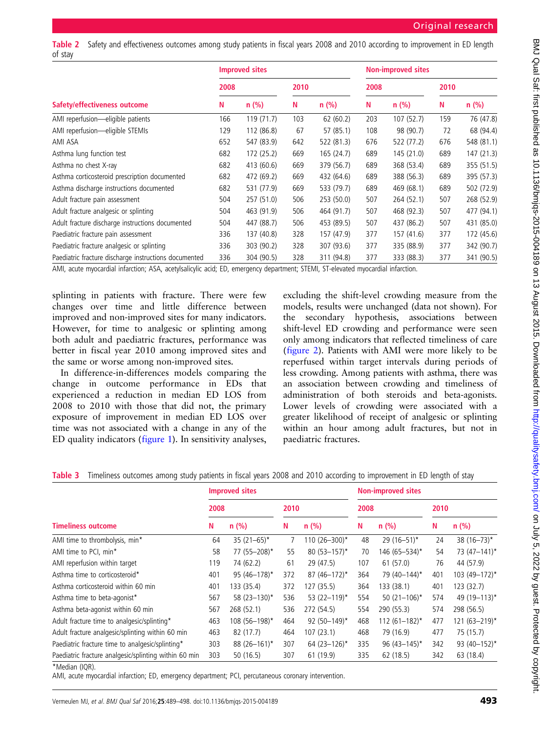<span id="page-4-0"></span>Table 2 Safety and effectiveness outcomes among study patients in fiscal years 2008 and 2010 according to improvement in ED length of stay

|                                                       | <b>Improved sites</b> |            |      |            | <b>Non-improved sites</b> |            |      |            |
|-------------------------------------------------------|-----------------------|------------|------|------------|---------------------------|------------|------|------------|
|                                                       | 2008                  |            | 2010 |            | 2008                      |            | 2010 |            |
| Safety/effectiveness outcome                          | Ν                     | $n$ (%)    | N    | $n$ (%)    | Ν                         | $n$ (%)    | N    | $n$ (%)    |
| AMI reperfusion-eligible patients                     | 166                   | 119(71.7)  | 103  | 62(60.2)   | 203                       | 107(52.7)  | 159  | 76 (47.8)  |
| AMI reperfusion-eligible STEMIs                       | 129                   | 112 (86.8) | 67   | 57 (85.1)  | 108                       | 98 (90.7)  | 72   | 68 (94.4)  |
| AMI ASA                                               | 652                   | 547 (83.9) | 642  | 522 (81.3) | 676                       | 522 (77.2) | 676  | 548 (81.1) |
| Asthma lung function test                             | 682                   | 172 (25.2) | 669  | 165(24.7)  | 689                       | 145 (21.0) | 689  | 147 (21.3) |
| Asthma no chest X-ray                                 | 682                   | 413 (60.6) | 669  | 379 (56.7) | 689                       | 368 (53.4) | 689  | 355 (51.5) |
| Asthma corticosteroid prescription documented         | 682                   | 472 (69.2) | 669  | 432 (64.6) | 689                       | 388 (56.3) | 689  | 395 (57.3) |
| Asthma discharge instructions documented              | 682                   | 531 (77.9) | 669  | 533 (79.7) | 689                       | 469 (68.1) | 689  | 502 (72.9) |
| Adult fracture pain assessment                        | 504                   | 257 (51.0) | 506  | 253 (50.0) | 507                       | 264 (52.1) | 507  | 268 (52.9) |
| Adult fracture analgesic or splinting                 | 504                   | 463 (91.9) | 506  | 464 (91.7) | 507                       | 468 (92.3) | 507  | 477 (94.1) |
| Adult fracture discharge instructions documented      | 504                   | 447 (88.7) | 506  | 453 (89.5) | 507                       | 437 (86.2) | 507  | 431 (85.0) |
| Paediatric fracture pain assessment                   | 336                   | 137 (40.8) | 328  | 157 (47.9) | 377                       | 157 (41.6) | 377  | 172 (45.6) |
| Paediatric fracture analgesic or splinting            | 336                   | 303 (90.2) | 328  | 307 (93.6) | 377                       | 335 (88.9) | 377  | 342 (90.7) |
| Paediatric fracture discharge instructions documented | 336                   | 304 (90.5) | 328  | 311 (94.8) | 377                       | 333 (88.3) | 377  | 341 (90.5) |

AMI, acute myocardial infarction; ASA, acetylsalicylic acid; ED, emergency department; STEMI, ST-elevated myocardial infarction.

splinting in patients with fracture. There were few changes over time and little difference between improved and non-improved sites for many indicators. However, for time to analgesic or splinting among both adult and paediatric fractures, performance was better in fiscal year 2010 among improved sites and the same or worse among non-improved sites.

In difference-in-differences models comparing the change in outcome performance in EDs that experienced a reduction in median ED LOS from 2008 to 2010 with those that did not, the primary exposure of improvement in median ED LOS over time was not associated with a change in any of the ED quality indicators ([figure 1\)](#page-5-0). In sensitivity analyses,

excluding the shift-level crowding measure from the models, results were unchanged (data not shown). For the secondary hypothesis, associations between shift-level ED crowding and performance were seen only among indicators that reflected timeliness of care ([figure 2\)](#page-5-0). Patients with AMI were more likely to be reperfused within target intervals during periods of less crowding. Among patients with asthma, there was an association between crowding and timeliness of administration of both steroids and beta-agonists. Lower levels of crowding were associated with a greater likelihood of receipt of analgesic or splinting within an hour among adult fractures, but not in paediatric fractures.

| Table 3 |  |  | Timeliness outcomes among study patients in fiscal years 2008 and 2010 according to improvement in ED length of stay |
|---------|--|--|----------------------------------------------------------------------------------------------------------------------|
|         |  |  |                                                                                                                      |

|                                                       | <b>Improved sites</b> |                  |     |                   | <b>Non-improved sites</b> |                 |     |                |  |
|-------------------------------------------------------|-----------------------|------------------|-----|-------------------|---------------------------|-----------------|-----|----------------|--|
|                                                       |                       | 2008             |     | 2010              |                           | 2008            |     | 2010           |  |
| <b>Timeliness outcome</b>                             | N                     | $n$ (%)          | N   | n(%)              | N                         | n(%)            | N   | $n$ (%)        |  |
| AMI time to thrombolysis, min*                        | 64                    | $35(21-65)^*$    |     | $110(26 - 300)^*$ | 48                        | $29(16-51)^*$   | 24  | $38(16-73)^*$  |  |
| AMI time to PCI, min*                                 | 58                    | 77 (55-208)*     | 55  | $80(53 - 157)^*$  | 70                        | 146 (65-534)*   | 54  | 73 (47-141)*   |  |
| AMI reperfusion within target                         | 119                   | 74 (62.2)        | 61  | 29 (47.5)         | 107                       | 61(57.0)        | 76  | 44 (57.9)      |  |
| Asthma time to corticosteroid*                        | 401                   | 95 (46-178)*     | 372 | 87 (46-172)*      | 364                       | 79 (40-144)*    | 401 | 103 (49-172)*  |  |
| Asthma corticosteroid within 60 min                   | 401                   | 133 (35.4)       | 372 | 127 (35.5)        | 364                       | 133 (38.1)      | 401 | 123 (32.7)     |  |
| Asthma time to beta-agonist*                          | 567                   | 58 (23-130)*     | 536 | 53 (22-119)*      | 554                       | 50 $(21-106)^*$ | 574 | 49 (19 – 113)* |  |
| Asthma beta-agonist within 60 min                     | 567                   | 268 (52.1)       | 536 | 272 (54.5)        | 554                       | 290 (55.3)      | 574 | 298 (56.5)     |  |
| Adult fracture time to analgesic/splinting*           | 463                   | 108 (56-198)*    | 464 | 92 (50-149)*      | 468                       | $112(61-182)^*$ | 477 | 121 (63-219)*  |  |
| Adult fracture analgesic/splinting within 60 min      | 463                   | 82 (17.7)        | 464 | 107(23.1)         | 468                       | 79 (16.9)       | 477 | 75 (15.7)      |  |
| Paediatric fracture time to analgesic/splinting*      | 303                   | $88(26 - 161)^*$ | 307 | $64(23 - 126)^*$  | 335                       | 96 (43-145)*    | 342 | 93 (40-152)*   |  |
| Paediatric fracture analgesic/splinting within 60 min | 303                   | 50 (16.5)        | 307 | 61 (19.9)         | 335                       | 62 (18.5)       | 342 | 63 (18.4)      |  |
| $*$ (100)                                             |                       |                  |     |                   |                           |                 |     |                |  |

Median (IOR).

AMI, acute myocardial infarction; ED, emergency department; PCI, percutaneous coronary intervention.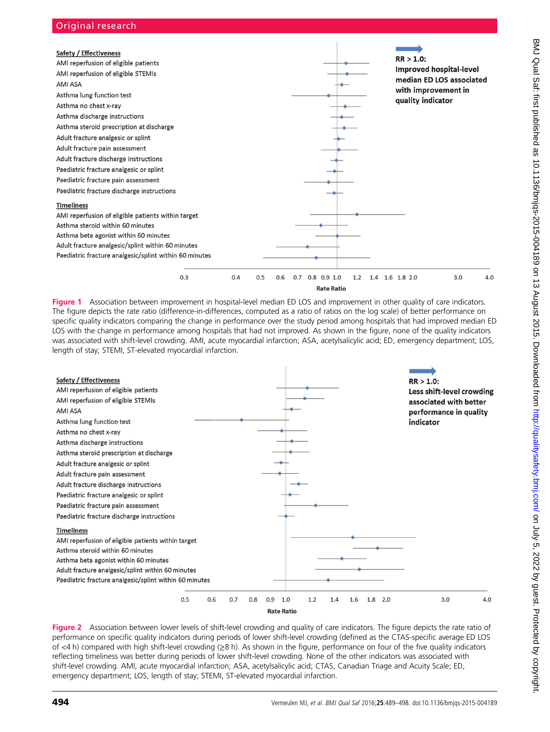<span id="page-5-0"></span>

Figure 1 Association between improvement in hospital-level median ED LOS and improvement in other quality of care indicators. The figure depicts the rate ratio (difference-in-differences, computed as a ratio of ratios on the log scale) of better performance on specific quality indicators comparing the change in performance over the study period among hospitals that had improved median ED LOS with the change in performance among hospitals that had not improved. As shown in the figure, none of the quality indicators was associated with shift-level crowding. AMI, acute myocardial infarction; ASA, acetylsalicylic acid; ED, emergency department; LOS, length of stay; STEMI, ST-elevated myocardial infarction.



Figure 2 Association between lower levels of shift-level crowding and quality of care indicators. The figure depicts the rate ratio of performance on specific quality indicators during periods of lower shift-level crowding (defined as the CTAS-specific average ED LOS of <4 h) compared with high shift-level crowding (≥8 h). As shown in the figure, performance on four of the five quality indicators reflecting timeliness was better during periods of lower shift-level crowding. None of the other indicators was associated with shift-level crowding. AMI, acute myocardial infarction; ASA, acetylsalicylic acid; CTAS, Canadian Triage and Acuity Scale; ED, emergency department; LOS, length of stay; STEMI, ST-elevated myocardial infarction.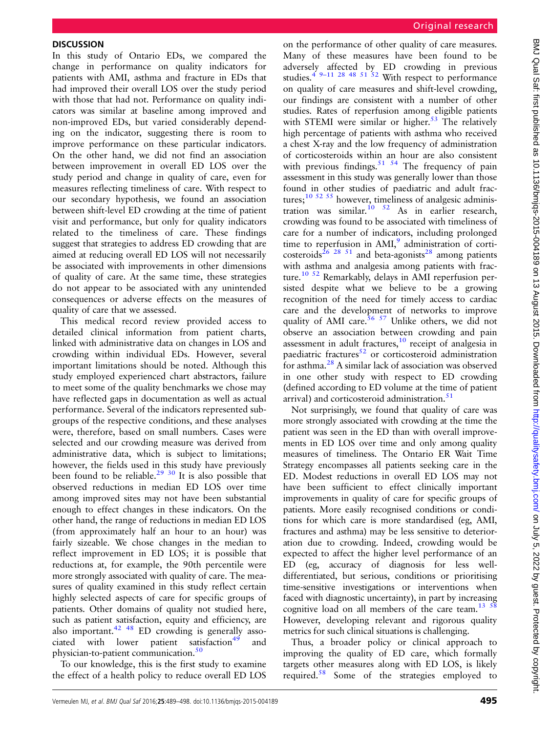In this study of Ontario EDs, we compared the change in performance on quality indicators for patients with AMI, asthma and fracture in EDs that had improved their overall LOS over the study period with those that had not. Performance on quality indicators was similar at baseline among improved and non-improved EDs, but varied considerably depending on the indicator, suggesting there is room to improve performance on these particular indicators. On the other hand, we did not find an association between improvement in overall ED LOS over the study period and change in quality of care, even for measures reflecting timeliness of care. With respect to our secondary hypothesis, we found an association between shift-level ED crowding at the time of patient visit and performance, but only for quality indicators related to the timeliness of care. These findings suggest that strategies to address ED crowding that are aimed at reducing overall ED LOS will not necessarily be associated with improvements in other dimensions of quality of care. At the same time, these strategies do not appear to be associated with any unintended consequences or adverse effects on the measures of quality of care that we assessed.

This medical record review provided access to detailed clinical information from patient charts, linked with administrative data on changes in LOS and crowding within individual EDs. However, several important limitations should be noted. Although this study employed experienced chart abstractors, failure to meet some of the quality benchmarks we chose may have reflected gaps in documentation as well as actual performance. Several of the indicators represented subgroups of the respective conditions, and these analyses were, therefore, based on small numbers. Cases were selected and our crowding measure was derived from administrative data, which is subject to limitations; however, the fields used in this study have previously been found to be reliable.<sup>[29 30](#page-8-0)</sup> It is also possible that observed reductions in median ED LOS over time among improved sites may not have been substantial enough to effect changes in these indicators. On the other hand, the range of reductions in median ED LOS (from approximately half an hour to an hour) was fairly sizeable. We chose changes in the median to reflect improvement in ED LOS; it is possible that reductions at, for example, the 90th percentile were more strongly associated with quality of care. The measures of quality examined in this study reflect certain highly selected aspects of care for specific groups of patients. Other domains of quality not studied here, such as patient satisfaction, equity and efficiency, are also important.<sup>42 48</sup> ED crowding is generally asso-ciated with lower patient satisfaction<sup>[49](#page-9-0)</sup> and physician-to-patient communication.<sup>[50](#page-9-0)</sup>

To our knowledge, this is the first study to examine the effect of a health policy to reduce overall ED LOS

on the performance of other quality of care measures. Many of these measures have been found to be adversely affected by ED crowding in previous studies.<sup>[4](#page-7-0)</sup> 9–[11 28 48](#page-8-0) [51 52](#page-9-0) With respect to performance on quality of care measures and shift-level crowding, our findings are consistent with a number of other studies. Rates of reperfusion among eligible patients with STEMI were similar or higher. $53$  The relatively high percentage of patients with asthma who received a chest X-ray and the low frequency of administration of corticosteroids within an hour are also consistent with previous findings.  $51 \times 54$  The frequency of pain assessment in this study was generally lower than those found in other studies of paediatric and adult fractures;  $10\frac{52\frac{55}{5}}{2}$  $10\frac{52\frac{55}{5}}{2}$  however, timeliness of analgesic adminis-tration was similar.<sup>[10](#page-8-0) [52](#page-9-0)</sup> As in earlier research, crowding was found to be associated with timeliness of care for a number of indicators, including prolonged time to reperfusion in  $AMI$ , $9$  administration of corticosteroids<sup>26</sup> <sup>28</sup> <sup>51</sup> and beta-agonists<sup>28</sup> among patients with asthma and analgesia among patients with frac-ture.<sup>[10](#page-8-0) [52](#page-9-0)</sup> Remarkably, delays in AMI reperfusion persisted despite what we believe to be a growing recognition of the need for timely access to cardiac care and the development of networks to improve quality of AMI care.  $5657$  Unlike others, we did not observe an association between crowding and pain assessment in adult fractures, $10$  receipt of analgesia in paediatric fractures $52$  or corticosteroid administration for asthma.[28](#page-8-0) A similar lack of association was observed in one other study with respect to ED crowding (defined according to ED volume at the time of patient arrival) and corticosteroid administration.<sup>[51](#page-9-0)</sup>

Not surprisingly, we found that quality of care was more strongly associated with crowding at the time the patient was seen in the ED than with overall improvements in ED LOS over time and only among quality measures of timeliness. The Ontario ER Wait Time Strategy encompasses all patients seeking care in the ED. Modest reductions in overall ED LOS may not have been sufficient to effect clinically important improvements in quality of care for specific groups of patients. More easily recognised conditions or conditions for which care is more standardised (eg, AMI, fractures and asthma) may be less sensitive to deterioration due to crowding. Indeed, crowding would be expected to affect the higher level performance of an ED (eg, accuracy of diagnosis for less welldifferentiated, but serious, conditions or prioritising time-sensitive investigations or interventions when faced with diagnostic uncertainty), in part by increasing cognitive load on all members of the care team.<sup>[13](#page-8-0) [58](#page-9-0)</sup> However, developing relevant and rigorous quality metrics for such clinical situations is challenging.

Thus, a broader policy or clinical approach to improving the quality of ED care, which formally targets other measures along with ED LOS, is likely required.[58](#page-9-0) Some of the strategies employed to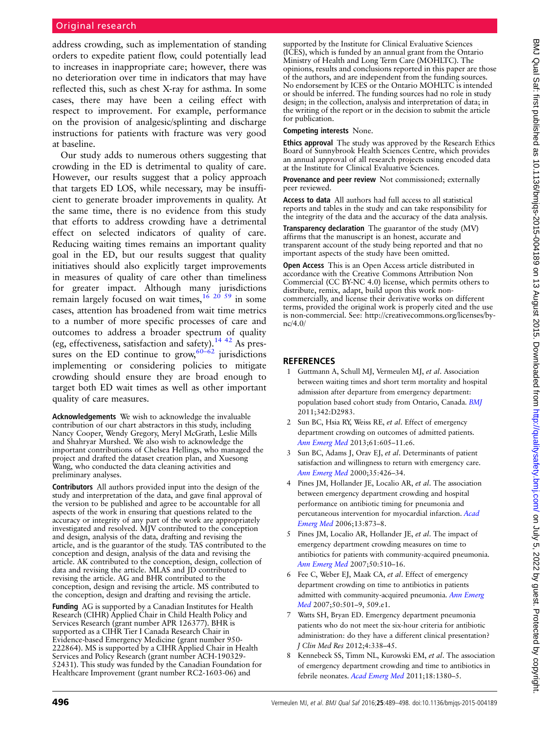<span id="page-7-0"></span>address crowding, such as implementation of standing orders to expedite patient flow, could potentially lead to increases in inappropriate care; however, there was no deterioration over time in indicators that may have reflected this, such as chest X-ray for asthma. In some cases, there may have been a ceiling effect with respect to improvement. For example, performance on the provision of analgesic/splinting and discharge instructions for patients with fracture was very good at baseline.

Our study adds to numerous others suggesting that crowding in the ED is detrimental to quality of care. However, our results suggest that a policy approach that targets ED LOS, while necessary, may be insufficient to generate broader improvements in quality. At the same time, there is no evidence from this study that efforts to address crowding have a detrimental effect on selected indicators of quality of care. Reducing waiting times remains an important quality goal in the ED, but our results suggest that quality initiatives should also explicitly target improvements in measures of quality of care other than timeliness for greater impact. Although many jurisdictions remain largely focused on wait times,<sup>[16 20](#page-8-0) [59](#page-9-0)</sup> in some cases, attention has broadened from wait time metrics to a number of more specific processes of care and outcomes to address a broader spectrum of quality (eg, effectiveness, satisfaction and safety).<sup>[14 42](#page-8-0)</sup> As pressures on the ED continue to grow,  $60-62$  $60-62$  jurisdictions implementing or considering policies to mitigate crowding should ensure they are broad enough to target both ED wait times as well as other important quality of care measures.

Acknowledgements We wish to acknowledge the invaluable contribution of our chart abstractors in this study, including Nancy Cooper, Wendy Gregory, Meryl McGrath, Leslie Mills and Shahryar Murshed. We also wish to acknowledge the important contributions of Chelsea Hellings, who managed the project and drafted the dataset creation plan, and Xuesong Wang, who conducted the data cleaning activities and preliminary analyses.

Contributors All authors provided input into the design of the study and interpretation of the data, and gave final approval of the version to be published and agree to be accountable for all aspects of the work in ensuring that questions related to the accuracy or integrity of any part of the work are appropriately investigated and resolved. MJV contributed to the conception and design, analysis of the data, drafting and revising the article, and is the guarantor of the study. TAS contributed to the conception and design, analysis of the data and revising the article. AK contributed to the conception, design, collection of data and revising the article. MLAS and JD contributed to revising the article. AG and BHR contributed to the conception, design and revising the article. MS contributed to the conception, design and drafting and revising the article.

Funding AG is supported by a Canadian Institutes for Health Research (CIHR) Applied Chair in Child Health Policy and Services Research (grant number APR 126377). BHR is supported as a CIHR Tier I Canada Research Chair in Evidence-based Emergency Medicine (grant number 950- 222864). MS is supported by a CIHR Applied Chair in Health Services and Policy Research (grant number ACH-190329- 52431). This study was funded by the Canadian Foundation for Healthcare Improvement (grant number RC2-1603-06) and

supported by the Institute for Clinical Evaluative Sciences (ICES), which is funded by an annual grant from the Ontario Ministry of Health and Long Term Care (MOHLTC). The opinions, results and conclusions reported in this paper are those of the authors, and are independent from the funding sources. No endorsement by ICES or the Ontario MOHLTC is intended or should be inferred. The funding sources had no role in study design; in the collection, analysis and interpretation of data; in the writing of the report or in the decision to submit the article for publication.

Competing interests None.

Ethics approval The study was approved by the Research Ethics Board of Sunnybrook Health Sciences Centre, which provides an annual approval of all research projects using encoded data at the Institute for Clinical Evaluative Sciences.

Provenance and peer review Not commissioned; externally peer reviewed.

Access to data All authors had full access to all statistical reports and tables in the study and can take responsibility for the integrity of the data and the accuracy of the data analysis.

Transparency declaration The guarantor of the study (MV) affirms that the manuscript is an honest, accurate and transparent account of the study being reported and that no important aspects of the study have been omitted.

Open Access This is an Open Access article distributed in accordance with the Creative Commons Attribution Non Commercial (CC BY-NC 4.0) license, which permits others to distribute, remix, adapt, build upon this work noncommercially, and license their derivative works on different terms, provided the original work is properly cited and the use is non-commercial. See: [http://creativecommons.org/licenses/by](http://creativecommons.org/licenses/by-nc/4.0/)[nc/4.0/](http://creativecommons.org/licenses/by-nc/4.0/)

### **REFERENCES**

- 1 Guttmann A, Schull MJ, Vermeulen MJ, et al. Association between waiting times and short term mortality and hospital admission after departure from emergency department: population based cohort study from Ontario, Canada. [BMJ](http://dx.doi.org/10.1136/bmj.d2983) 2011;342:D2983.
- 2 Sun BC, Hsia RY, Weiss RE, et al. Effect of emergency department crowding on outcomes of admitted patients. [Ann Emerg Med](http://dx.doi.org/10.1016/j.annemergmed.2012.10.026) 2013;61:605–11.e6.
- 3 Sun BC, Adams J, Orav EJ, et al. Determinants of patient satisfaction and willingness to return with emergency care. [Ann Emerg Med](http://dx.doi.org/10.1016/S0196-0644(00)70003-5) 2000;35:426–34.
- 4 Pines JM, Hollander JE, Localio AR, et al. The association between emergency department crowding and hospital performance on antibiotic timing for pneumonia and percutaneous intervention for myocardial infarction. [Acad](http://dx.doi.org/10.1111/j.1553-2712.2006.tb01741.x) [Emerg Med](http://dx.doi.org/10.1111/j.1553-2712.2006.tb01741.x) 2006;13:873–8.
- Pines JM, Localio AR, Hollander JE, et al. The impact of emergency department crowding measures on time to antibiotics for patients with community-acquired pneumonia. [Ann Emerg Med](http://dx.doi.org/10.1016/j.annemergmed.2007.07.021) 2007;50:510–16.
- Fee C, Weber EJ, Maak CA, et al. Effect of emergency department crowding on time to antibiotics in patients admitted with community-acquired pneumonia. [Ann Emerg](http://dx.doi.org/10.1016/j.annemergmed.2007.08.003) [Med](http://dx.doi.org/10.1016/j.annemergmed.2007.08.003) 2007;50:501–9, 509.e1.
- 7 Watts SH, Bryan ED. Emergency department pneumonia patients who do not meet the six-hour criteria for antibiotic administration: do they have a different clinical presentation? J Clin Med Res 2012;4:338–45.
- 8 Kennebeck SS, Timm NL, Kurowski EM, et al. The association of emergency department crowding and time to antibiotics in febrile neonates. [Acad Emerg Med](http://dx.doi.org/10.1111/j.1553-2712.2011.01221.x) 2011;18:1380–5.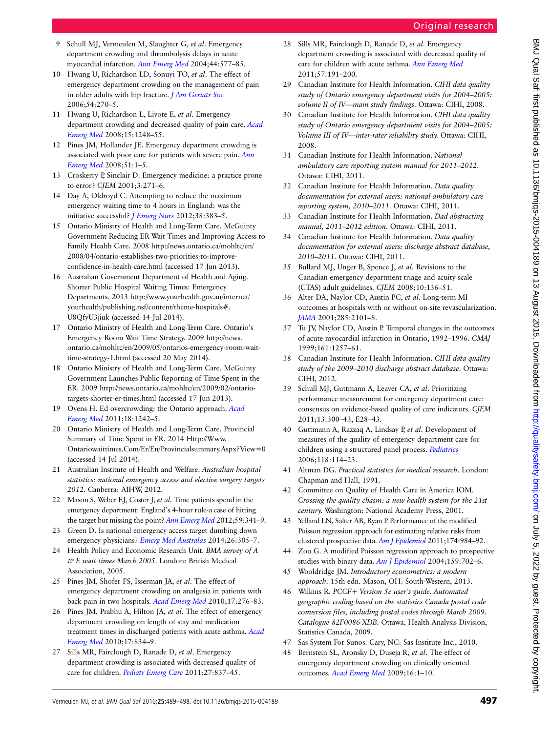- <span id="page-8-0"></span>9 Schull MJ, Vermeulen M, Slaughter G, et al. Emergency department crowding and thrombolysis delays in acute myocardial infarction. [Ann Emerg Med](http://dx.doi.org/10.1016/j.annemergmed.2004.05.004) 2004;44:577–85.
- 10 Hwang U, Richardson LD, Sonuyi TO, et al. The effect of emergency department crowding on the management of pain in older adults with hip fracture. *[J Am Geriatr Soc](http://dx.doi.org/10.1111/j.1532-5415.2005.00587.x)* 2006;54:270–5.
- 11 Hwang U, Richardson L, Livote E, et al. Emergency department crowding and decreased quality of pain care. [Acad](http://dx.doi.org/10.1111/j.1553-2712.2008.00267.x) [Emerg Med](http://dx.doi.org/10.1111/j.1553-2712.2008.00267.x) 2008;15:1248–55.
- 12 Pines JM, Hollander JE. Emergency department crowding is associated with poor care for patients with severe pain. [Ann](http://dx.doi.org/10.1016/j.annemergmed.2007.07.008) [Emerg Med](http://dx.doi.org/10.1016/j.annemergmed.2007.07.008) 2008;51:1–5.
- 13 Croskerry P, Sinclair D. Emergency medicine: a practice prone to error? CJEM 2001;3:271–6.
- 14 Day A, Oldroyd C. Attempting to reduce the maximum emergency waiting time to 4 hours in England: was the initiative successful? *[J Emerg Nurs](http://dx.doi.org/10.1016/j.jen.2012.04.002)* 2012;38:383-5.
- 15 Ontario Ministry of Health and Long-Term Care. McGuinty Government Reducing ER Wait Times and Improving Access to Family Health Care. 2008 [http://news.ontario.ca/mohltc/en/](http://news.ontario.ca/mohltc/en/2008/04/ontario-establishes-two-priorities-to-improve-confidence-in-health-care.html) [2008/04/ontario-establishes-two-priorities-to-improve](http://news.ontario.ca/mohltc/en/2008/04/ontario-establishes-two-priorities-to-improve-confidence-in-health-care.html)[confidence-in-health-care.html](http://news.ontario.ca/mohltc/en/2008/04/ontario-establishes-two-priorities-to-improve-confidence-in-health-care.html) (accessed 17 Jun 2013).
- 16 Australian Government Department of Health and Aging. Shorter Public Hospital Waiting Times: Emergency Departments. 2013 [http://www.yourhealth.gov.au/internet/](http://www.yourhealth.gov.au/internet/yourhealth/publishing.nsf/content/theme-hospitals#.U8QfyU3jiuk) [yourhealth/publishing.nsf/content/theme-hospitals#.](http://www.yourhealth.gov.au/internet/yourhealth/publishing.nsf/content/theme-hospitals#.U8QfyU3jiuk) [U8QfyU3jiuk](http://www.yourhealth.gov.au/internet/yourhealth/publishing.nsf/content/theme-hospitals#.U8QfyU3jiuk) (accessed 14 Jul 2014).
- 17 Ontario Ministry of Health and Long-Term Care. Ontario's Emergency Room Wait Time Strategy. 2009 [http://news.](http://news.ontario.ca/mohltc/en/2009/05/ontarios-emergency-room-wait-time-strategy-1.html) [ontario.ca/mohltc/en/2009/05/ontarios-emergency-room-wait](http://news.ontario.ca/mohltc/en/2009/05/ontarios-emergency-room-wait-time-strategy-1.html)[time-strategy-1.html](http://news.ontario.ca/mohltc/en/2009/05/ontarios-emergency-room-wait-time-strategy-1.html) (accessed 20 May 2014).
- 18 Ontario Ministry of Health and Long-Term Care. McGuinty Government Launches Public Reporting of Time Spent in the ER. 2009 [http://news.ontario.ca/mohltc/en/2009/02/ontario](http://news.ontario.ca/mohltc/en/2009/02/ontario-targets-shorter-er-times.html)[targets-shorter-er-times.html](http://news.ontario.ca/mohltc/en/2009/02/ontario-targets-shorter-er-times.html) (accessed 17 Jun 2013).
- 19 Ovens H. Ed overcrowding: the Ontario approach. [Acad](http://dx.doi.org/10.1111/j.1553-2712.2011.01220.x) [Emerg Med](http://dx.doi.org/10.1111/j.1553-2712.2011.01220.x) 2011;18:1242–5.
- 20 Ontario Ministry of Health and Long-Term Care. Provincial Summary of Time Spent in ER. 2014 [Http://Www.](Http://Www.Ontariowaittimes.Com/Er/En/Provincialsummary.Aspx?View=0) [Ontariowaittimes.Com/Er/En/Provincialsummary.Aspx?View=0](Http://Www.Ontariowaittimes.Com/Er/En/Provincialsummary.Aspx?View=0) (accessed 14 Jul 2014).
- 21 Australian Institute of Health and Welfare. Australian hospital statistics: national emergency access and elective surgery targets 2012. Canberra: AIHW, 2012.
- 22 Mason S, Weber EJ, Coster J, et al. Time patients spend in the emergency department: England's 4-hour rule-a case of hitting the target but missing the point? [Ann Emerg Med](http://dx.doi.org/10.1016/j.annemergmed.2011.08.017) 2012;59:341-9.
- 23 Green D. Is national emergency access target dumbing down emergency physicians? [Emerg Med Australas](http://dx.doi.org/10.1111/1742-6723.12238) 2014;26:305-7.
- 24 Health Policy and Economic Research Unit. BMA survey of A & E wait times March 2005. London: British Medical Association, 2005.
- 25 Pines JM, Shofer FS, Isserman JA, et al. The effect of emergency department crowding on analgesia in patients with back pain in two hospitals. [Acad Emerg Med](http://dx.doi.org/10.1111/j.1553-2712.2009.00676.x) 2010;17:276–83.
- 26 Pines JM, Prabhu A, Hilton JA, et al. The effect of emergency department crowding on length of stay and medication treatment times in discharged patients with acute asthma. [Acad](http://dx.doi.org/10.1111/j.1553-2712.2010.00780.x) [Emerg Med](http://dx.doi.org/10.1111/j.1553-2712.2010.00780.x) 2010;17:834–9.
- 27 Sills MR, Fairclough D, Ranade D, et al. Emergency department crowding is associated with decreased quality of care for children. [Pediatr Emerg Care](http://dx.doi.org/10.1097/PEC.0b013e31822c1382) 2011;27:837–45.
- Sills MR, Fairclough D, Ranade D, et al. Emergency department crowding is associated with decreased quality of care for children with acute asthma. [Ann Emerg Med](http://dx.doi.org/10.1016/j.annemergmed.2010.08.027) 2011;57:191–200.
- 29 Canadian Institute for Health Information. CIHI data quality study of Ontario emergency department visits for 2004–2005: volume II of IV—main study findings. Ottawa: CIHI, 2008.
- 30 Canadian Institute for Health Information. CIHI data quality study of Ontario emergency department visits for 2004–2005: Volume III of IV—inter-rater reliability study. Ottawa: CIHI, 2008.
- 31 Canadian Institute for Health Information. National ambulatory care reporting system manual for 2011–2012. Ottawa: CIHI, 2011.
- 32 Canadian Institute for Health Information. Data quality documentation for external users: national ambulatory care reporting system, 2010–2011. Ottawa: CIHI, 2011.
- 33 Canadian Institute for Health Information. Dad abstracting manual, 2011–2012 edition. Ottawa: CIHI, 2011.
- 34 Canadian Institute for Health Information. Data quality documentation for external users: discharge abstract database, 2010–2011. Ottawa: CIHI, 2011.
- 35 Bullard MJ, Unger B, Spence J, et al. Revisions to the Canadian emergency department triage and acuity scale (CTAS) adult guidelines. CJEM 2008;10:136–51.
- 36 Alter DA, Naylor CD, Austin PC, et al. Long-term MI outcomes at hospitals with or without on-site revascularization. [JAMA](http://dx.doi.org/10.1001/jama.285.16.2101) 2001;285:2101–8.
- 37 Tu JV, Naylor CD, Austin P. Temporal changes in the outcomes of acute myocardial infarction in Ontario, 1992–1996. CMAJ 1999;161:1257–61.
- 38 Canadian Institute for Health Information. CIHI data quality study of the 2009–2010 discharge abstract database. Ottawa: CIHI, 2012.
- 39 Schull MJ, Guttmann A, Leaver CA, et al. Prioritizing performance measurement for emergency department care: consensus on evidence-based quality of care indicators. CJEM 2011;13:300–43, E28–43.
- 40 Guttmann A, Razzaq A, Lindsay P, et al. Development of measures of the quality of emergency department care for children using a structured panel process. [Pediatrics](http://dx.doi.org/10.1542/peds.2005-3029) 2006;118:114–23.
- 41 Altman DG. Practical statistics for medical research. London: Chapman and Hall, 1991.
- 42 Committee on Quality of Health Care in America IOM. Crossing the quality chasm: a new health system for the 21st century. Washington: National Academy Press, 2001.
- 43 Yelland LN, Salter AB, Ryan P. Performance of the modified Poisson regression approach for estimating relative risks from clustered prospective data. [Am J Epidemiol](http://dx.doi.org/10.1093/aje/kwr183) 2011;174:984-92.
- 44 Zou G. A modified Poisson regression approach to prospective studies with binary data. [Am J Epidemiol](http://dx.doi.org/10.1093/aje/kwh090) 2004;159:702-6.
- 45 Wooldridge JM. Introductory econometrics: a modern approach. 15th edn. Mason, OH: South-Western, 2013.
- 46 Wilkins R. PCCF+ Version 5e user's guide. Automated geographic coding based on the statistics Canada postal code conversion files, including postal codes through March 2009. Catalogue 82F0086-XDB. Ottawa, Health Analysis Division, Statistics Canada, 2009.
- 47 Sas System For Sunos. Cary, NC: Sas Institute Inc., 2010.
- 48 Bernstein SL, Aronsky D, Duseja R, et al. The effect of emergency department crowding on clinically oriented outcomes. [Acad Emerg Med](http://dx.doi.org/10.1111/j.1553-2712.2008.00295.x) 2009;16:1–10.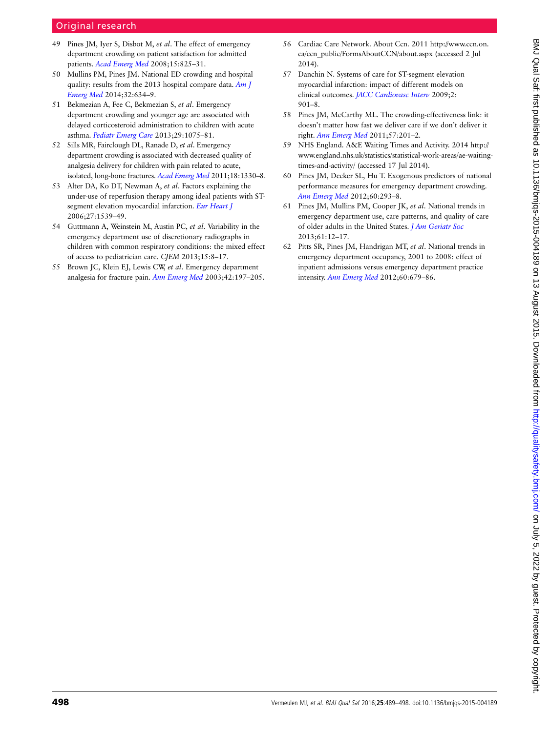# <span id="page-9-0"></span>Original research

- 49 Pines JM, Iver S, Disbot M, et al. The effect of emergency department crowding on patient satisfaction for admitted patients. [Acad Emerg Med](http://dx.doi.org/10.1111/j.1553-2712.2008.00200.x) 2008;15:825–31.
- 50 Mullins PM, Pines JM. National ED crowding and hospital quality: results from the 2013 hospital compare data.  $Am$  J [Emerg Med](http://dx.doi.org/10.1016/j.ajem.2014.02.008) 2014;32:634–9.
- 51 Bekmezian A, Fee C, Bekmezian S, et al. Emergency department crowding and younger age are associated with delayed corticosteroid administration to children with acute asthma. [Pediatr Emerg Care](http://dx.doi.org/10.1097/PEC.0b013e3182a5cbde) 2013;29:1075–81.
- 52 Sills MR, Fairclough DL, Ranade D, et al. Emergency department crowding is associated with decreased quality of analgesia delivery for children with pain related to acute, isolated, long-bone fractures. [Acad Emerg Med](http://dx.doi.org/10.1111/j.1553-2712.2011.01136.x) 2011;18:1330-8.
- 53 Alter DA, Ko DT, Newman A, et al. Factors explaining the under-use of reperfusion therapy among ideal patients with ST-segment elevation myocardial infarction. [Eur Heart J](http://dx.doi.org/10.1093/eurheartj/ehl066) 2006;27:1539–49.
- 54 Guttmann A, Weinstein M, Austin PC, et al. Variability in the emergency department use of discretionary radiographs in children with common respiratory conditions: the mixed effect of access to pediatrician care. CJEM 2013;15:8–17.
- 55 Brown JC, Klein EJ, Lewis CW, et al. Emergency department analgesia for fracture pain. [Ann Emerg Med](http://dx.doi.org/10.1067/mem.2003.275) 2003;42:197-205.
- 56 Cardiac Care Network. About Ccn. 2011 [http://www.ccn.on.](http://www.ccn.on.ca/ccn_public/FormsAboutCCN/about.aspx) [ca/ccn\\_public/FormsAboutCCN/about.aspx](http://www.ccn.on.ca/ccn_public/FormsAboutCCN/about.aspx) (accessed 2 Jul 2014).
- 57 Danchin N. Systems of care for ST-segment elevation myocardial infarction: impact of different models on clinical outcomes. [JACC Cardiovasc Interv](http://dx.doi.org/10.1016/j.jcin.2009.05.025) 2009;2: 901–8.
- 58 Pines JM, McCarthy ML. The crowding-effectiveness link: it doesn't matter how fast we deliver care if we don't deliver it right. [Ann Emerg Med](http://dx.doi.org/10.1016/j.annemergmed.2010.12.005) 2011;57:201–2.
- 59 NHS England. A&E Waiting Times and Activity. 2014 [http://](http://www.england.nhs.uk/statistics/statistical-work-areas/ae-waiting-times-and-activity/) [www.england.nhs.uk/statistics/statistical-work-areas/ae-waiting](http://www.england.nhs.uk/statistics/statistical-work-areas/ae-waiting-times-and-activity/)[times-and-activity/](http://www.england.nhs.uk/statistics/statistical-work-areas/ae-waiting-times-and-activity/) (accessed 17 Jul 2014).
- 60 Pines JM, Decker SL, Hu T. Exogenous predictors of national performance measures for emergency department crowding. [Ann Emerg Med](http://dx.doi.org/10.1016/j.annemergmed.2012.01.024) 2012;60:293–8.
- 61 Pines JM, Mullins PM, Cooper JK, et al. National trends in emergency department use, care patterns, and quality of care of older adults in the United States. [J Am Geriatr Soc](http://dx.doi.org/10.1111/jgs.12072) 2013;61:12–17.
- 62 Pitts SR, Pines JM, Handrigan MT, et al. National trends in emergency department occupancy, 2001 to 2008: effect of inpatient admissions versus emergency department practice intensity. [Ann Emerg Med](http://dx.doi.org/10.1016/j.annemergmed.2012.05.014) 2012;60:679–86.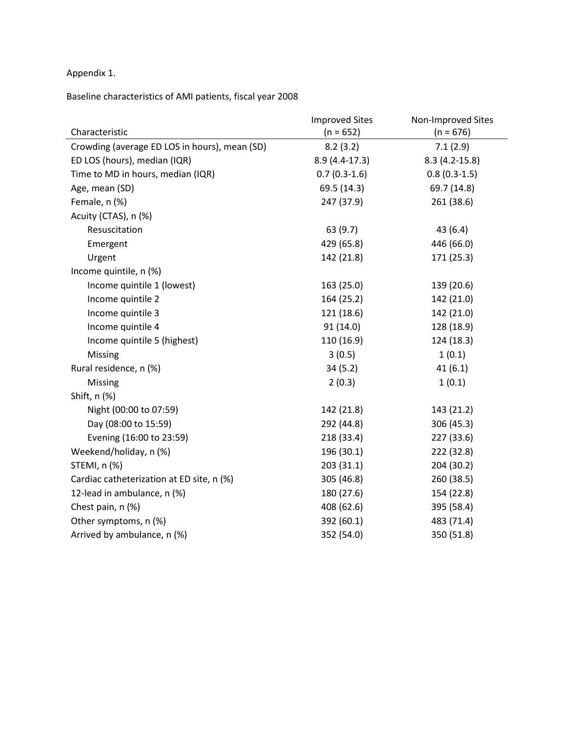# Appendix 1.

Baseline characteristics of AMI patients, fiscal year 2008

|                                               | <b>Improved Sites</b> | Non-Improved Sites |
|-----------------------------------------------|-----------------------|--------------------|
| Characteristic                                | $(n = 652)$           | $(n = 676)$        |
| Crowding (average ED LOS in hours), mean (SD) | 8.2(3.2)              | 7.1(2.9)           |
| ED LOS (hours), median (IQR)                  | $8.9(4.4-17.3)$       | $8.3(4.2-15.8)$    |
| Time to MD in hours, median (IQR)             | $0.7(0.3-1.6)$        | $0.8(0.3-1.5)$     |
| Age, mean (SD)                                | 69.5 (14.3)           | 69.7 (14.8)        |
| Female, n (%)                                 | 247 (37.9)            | 261 (38.6)         |
| Acuity (CTAS), n (%)                          |                       |                    |
| Resuscitation                                 | 63 (9.7)              | 43(6.4)            |
| Emergent                                      | 429 (65.8)            | 446 (66.0)         |
| Urgent                                        | 142 (21.8)            | 171 (25.3)         |
| Income quintile, n (%)                        |                       |                    |
| Income quintile 1 (lowest)                    | 163 (25.0)            | 139 (20.6)         |
| Income quintile 2                             | 164 (25.2)            | 142 (21.0)         |
| Income quintile 3                             | 121 (18.6)            | 142 (21.0)         |
| Income quintile 4                             | 91(14.0)              | 128 (18.9)         |
| Income quintile 5 (highest)                   | 110 (16.9)            | 124 (18.3)         |
| Missing                                       | 3(0.5)                | 1(0.1)             |
| Rural residence, n (%)                        | 34(5.2)               | 41(6.1)            |
| Missing                                       | 2(0.3)                | 1(0.1)             |
| Shift, n (%)                                  |                       |                    |
| Night (00:00 to 07:59)                        | 142 (21.8)            | 143 (21.2)         |
| Day (08:00 to 15:59)                          | 292 (44.8)            | 306 (45.3)         |
| Evening (16:00 to 23:59)                      | 218 (33.4)            | 227 (33.6)         |
| Weekend/holiday, n (%)                        | 196 (30.1)            | 222 (32.8)         |
| STEMI, n (%)                                  | 203(31.1)             | 204 (30.2)         |
| Cardiac catheterization at ED site, n (%)     | 305 (46.8)            | 260 (38.5)         |
| 12-lead in ambulance, n (%)                   | 180 (27.6)            | 154 (22.8)         |
| Chest pain, n (%)                             | 408 (62.6)            | 395 (58.4)         |
| Other symptoms, n (%)                         | 392 (60.1)            | 483 (71.4)         |
| Arrived by ambulance, n (%)                   | 352 (54.0)            | 350 (51.8)         |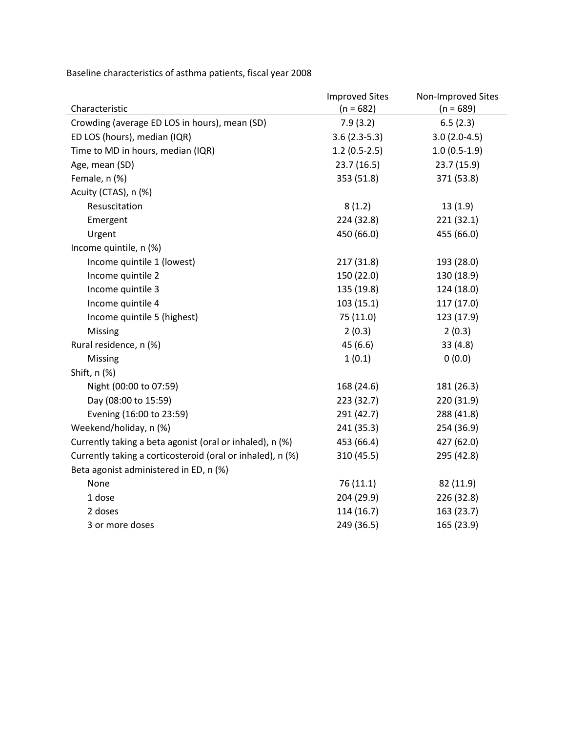|                                                            | <b>Improved Sites</b> | Non-Improved Sites |
|------------------------------------------------------------|-----------------------|--------------------|
| Characteristic                                             | $(n = 682)$           | $(n = 689)$        |
| Crowding (average ED LOS in hours), mean (SD)              | 7.9(3.2)              | 6.5(2.3)           |
| ED LOS (hours), median (IQR)                               | $3.6(2.3-5.3)$        | $3.0(2.0-4.5)$     |
| Time to MD in hours, median (IQR)                          | $1.2(0.5-2.5)$        | $1.0(0.5-1.9)$     |
| Age, mean (SD)                                             | 23.7(16.5)            | 23.7(15.9)         |
| Female, n (%)                                              | 353 (51.8)            | 371 (53.8)         |
| Acuity (CTAS), n (%)                                       |                       |                    |
| Resuscitation                                              | 8(1.2)                | 13(1.9)            |
| Emergent                                                   | 224 (32.8)            | 221 (32.1)         |
| Urgent                                                     | 450 (66.0)            | 455 (66.0)         |
| Income quintile, n (%)                                     |                       |                    |
| Income quintile 1 (lowest)                                 | 217 (31.8)            | 193 (28.0)         |
| Income quintile 2                                          | 150 (22.0)            | 130 (18.9)         |
| Income quintile 3                                          | 135 (19.8)            | 124 (18.0)         |
| Income quintile 4                                          | 103(15.1)             | 117(17.0)          |
| Income quintile 5 (highest)                                | 75 (11.0)             | 123 (17.9)         |
| Missing                                                    | 2(0.3)                | 2(0.3)             |
| Rural residence, n (%)                                     | 45(6.6)               | 33(4.8)            |
| Missing                                                    | 1(0.1)                | 0(0.0)             |
| Shift, n (%)                                               |                       |                    |
| Night (00:00 to 07:59)                                     | 168 (24.6)            | 181 (26.3)         |
| Day (08:00 to 15:59)                                       | 223 (32.7)            | 220 (31.9)         |
| Evening (16:00 to 23:59)                                   | 291 (42.7)            | 288 (41.8)         |
| Weekend/holiday, n (%)                                     | 241 (35.3)            | 254 (36.9)         |
| Currently taking a beta agonist (oral or inhaled), n (%)   | 453 (66.4)            | 427 (62.0)         |
| Currently taking a corticosteroid (oral or inhaled), n (%) | 310 (45.5)            | 295 (42.8)         |
| Beta agonist administered in ED, n (%)                     |                       |                    |
| None                                                       | 76(11.1)              | 82 (11.9)          |
| 1 dose                                                     | 204 (29.9)            | 226 (32.8)         |
| 2 doses                                                    | 114 (16.7)            | 163 (23.7)         |
| 3 or more doses                                            | 249 (36.5)            | 165 (23.9)         |

Baseline characteristics of asthma patients, fiscal year 2008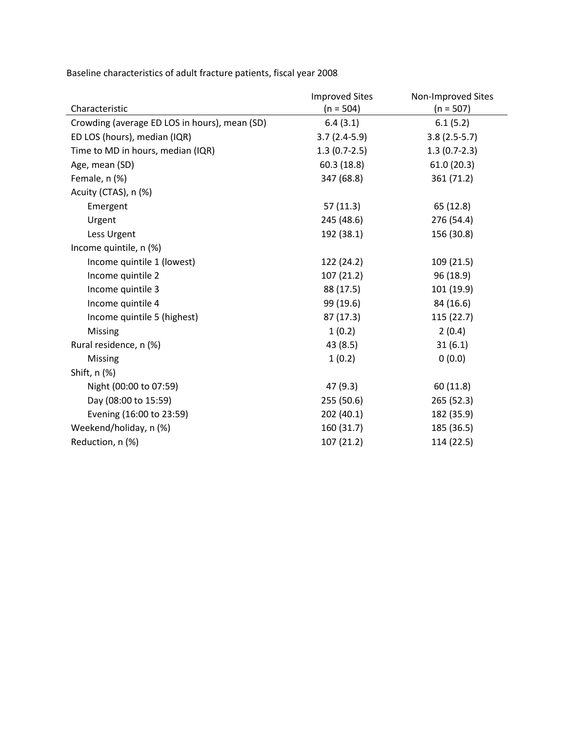|                                               | <b>Improved Sites</b> | Non-Improved Sites |
|-----------------------------------------------|-----------------------|--------------------|
| Characteristic                                | $(n = 504)$           | $(n = 507)$        |
| Crowding (average ED LOS in hours), mean (SD) | 6.4(3.1)              | 6.1(5.2)           |
| ED LOS (hours), median (IQR)                  | $3.7(2.4-5.9)$        | $3.8(2.5-5.7)$     |
| Time to MD in hours, median (IQR)             | $1.3(0.7-2.5)$        | $1.3(0.7-2.3)$     |
| Age, mean (SD)                                | 60.3(18.8)            | 61.0(20.3)         |
| Female, n (%)                                 | 347 (68.8)            | 361 (71.2)         |
| Acuity (CTAS), n (%)                          |                       |                    |
| Emergent                                      | 57(11.3)              | 65(12.8)           |
| Urgent                                        | 245 (48.6)            | 276 (54.4)         |
| Less Urgent                                   | 192 (38.1)            | 156 (30.8)         |
| Income quintile, n (%)                        |                       |                    |
| Income quintile 1 (lowest)                    | 122 (24.2)            | 109 (21.5)         |
| Income quintile 2                             | 107(21.2)             | 96 (18.9)          |
| Income quintile 3                             | 88 (17.5)             | 101 (19.9)         |
| Income quintile 4                             | 99 (19.6)             | 84 (16.6)          |
| Income quintile 5 (highest)                   | 87(17.3)              | 115(22.7)          |
| Missing                                       | 1(0.2)                | 2(0.4)             |
| Rural residence, n (%)                        | 43 (8.5)              | 31(6.1)            |
| <b>Missing</b>                                | 1(0.2)                | 0(0.0)             |
| Shift, n (%)                                  |                       |                    |
| Night (00:00 to 07:59)                        | 47(9.3)               | 60(11.8)           |
| Day (08:00 to 15:59)                          | 255 (50.6)            | 265(52.3)          |
| Evening (16:00 to 23:59)                      | 202 (40.1)            | 182 (35.9)         |
| Weekend/holiday, n (%)                        | 160 (31.7)            | 185 (36.5)         |
| Reduction, n (%)                              | 107 (21.2)            | 114 (22.5)         |

Baseline characteristics of adult fracture patients, fiscal year 2008